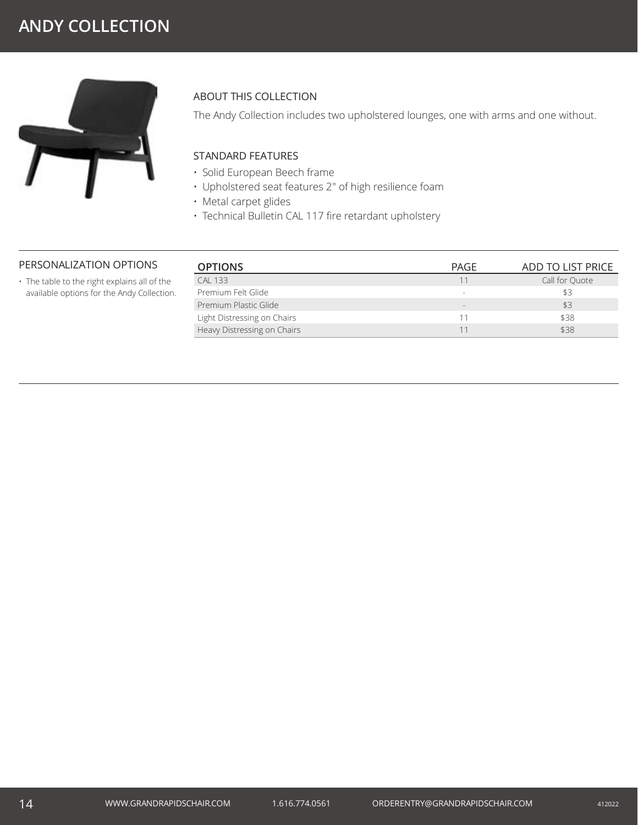# **ANDY COLLECTION**



### ABOUT THIS COLLECTION

The Andy Collection includes two upholstered lounges, one with arms and one without.

### STANDARD FEATURES

- Solid European Beech frame
- Upholstered seat features 2" of high resilience foam
- Metal carpet glides
- Technical Bulletin CAL 117 fire retardant upholstery

#### PERSONALIZATION OPTIONS

• The table to the right explains all of the available options for the Andy Collection.

| <b>OPTIONS</b>              | PAGE   | ADD TO LIST PRICE |
|-----------------------------|--------|-------------------|
| <b>CAL 133</b>              |        | Call for Ouote    |
| Premium Felt Glide          | $\sim$ | \$3               |
| Premium Plastic Glide       | $\sim$ | \$3               |
| Light Distressing on Chairs | 11     | \$38              |
| Heavy Distressing on Chairs |        | \$38              |